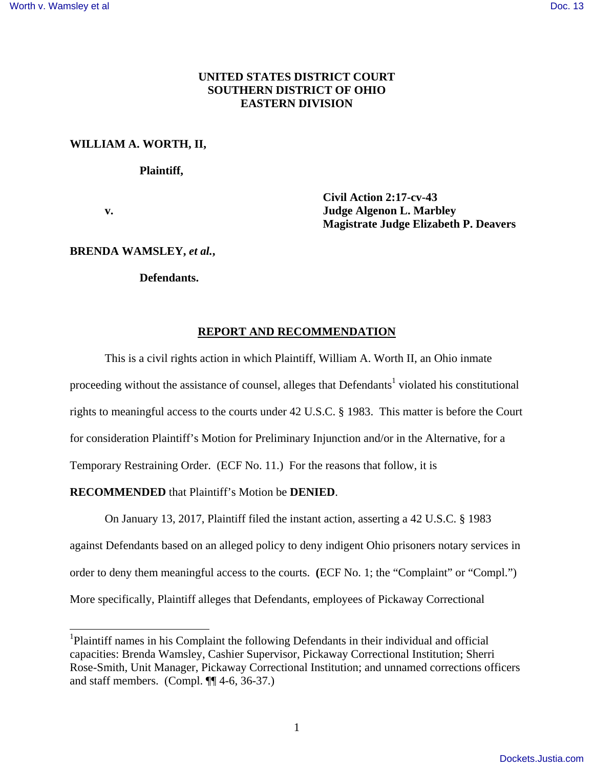## **UNITED STATES DISTRICT COURT SOUTHERN DISTRICT OF OHIO EASTERN DIVISION**

### **WILLIAM A. WORTH, II,**

### **Plaintiff,**

-

 **Civil Action 2:17-cv-43 v. Judge Algenon L. Marbley Magistrate Judge Elizabeth P. Deavers** 

### **BRENDA WAMSLEY,** *et al.***,**

## **Defendants.**

### **REPORT AND RECOMMENDATION**

 This is a civil rights action in which Plaintiff, William A. Worth II, an Ohio inmate proceeding without the assistance of counsel, alleges that Defendants<sup>1</sup> violated his constitutional rights to meaningful access to the courts under 42 U.S.C. § 1983. This matter is before the Court for consideration Plaintiff's Motion for Preliminary Injunction and/or in the Alternative, for a Temporary Restraining Order. (ECF No. 11.) For the reasons that follow, it is

### **RECOMMENDED** that Plaintiff's Motion be **DENIED**.

On January 13, 2017, Plaintiff filed the instant action, asserting a 42 U.S.C. § 1983 against Defendants based on an alleged policy to deny indigent Ohio prisoners notary services in order to deny them meaningful access to the courts. **(**ECF No. 1; the "Complaint" or "Compl.") More specifically, Plaintiff alleges that Defendants, employees of Pickaway Correctional

<sup>&</sup>lt;sup>1</sup>Plaintiff names in his Complaint the following Defendants in their individual and official capacities: Brenda Wamsley, Cashier Supervisor, Pickaway Correctional Institution; Sherri Rose-Smith, Unit Manager, Pickaway Correctional Institution; and unnamed corrections officers and staff members. (Compl.  $\P\P$ 4-6, 36-37.)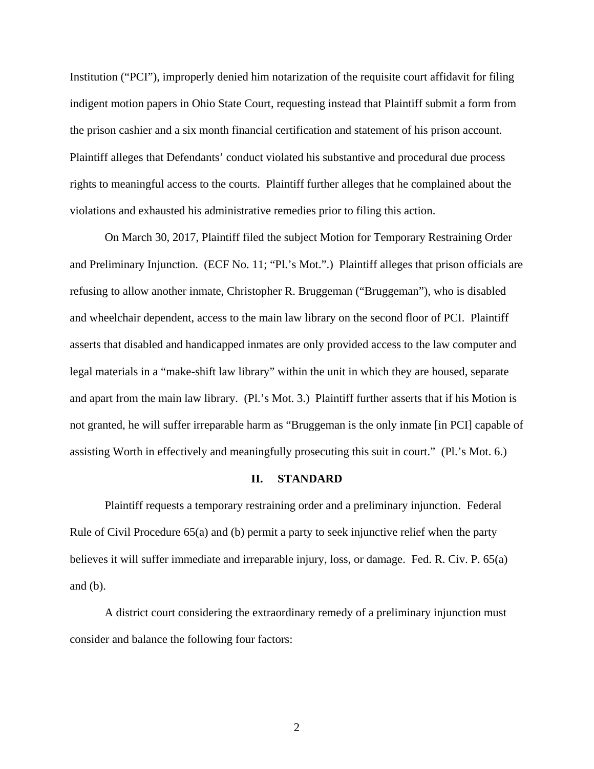Institution ("PCI"), improperly denied him notarization of the requisite court affidavit for filing indigent motion papers in Ohio State Court, requesting instead that Plaintiff submit a form from the prison cashier and a six month financial certification and statement of his prison account. Plaintiff alleges that Defendants' conduct violated his substantive and procedural due process rights to meaningful access to the courts. Plaintiff further alleges that he complained about the violations and exhausted his administrative remedies prior to filing this action.

On March 30, 2017, Plaintiff filed the subject Motion for Temporary Restraining Order and Preliminary Injunction. (ECF No. 11; "Pl.'s Mot.".) Plaintiff alleges that prison officials are refusing to allow another inmate, Christopher R. Bruggeman ("Bruggeman"), who is disabled and wheelchair dependent, access to the main law library on the second floor of PCI. Plaintiff asserts that disabled and handicapped inmates are only provided access to the law computer and legal materials in a "make-shift law library" within the unit in which they are housed, separate and apart from the main law library. (Pl.'s Mot. 3.) Plaintiff further asserts that if his Motion is not granted, he will suffer irreparable harm as "Bruggeman is the only inmate [in PCI] capable of assisting Worth in effectively and meaningfully prosecuting this suit in court." (Pl.'s Mot. 6.)

#### **II. STANDARD**

 Plaintiff requests a temporary restraining order and a preliminary injunction. Federal Rule of Civil Procedure 65(a) and (b) permit a party to seek injunctive relief when the party believes it will suffer immediate and irreparable injury, loss, or damage. Fed. R. Civ. P. 65(a) and (b).

 A district court considering the extraordinary remedy of a preliminary injunction must consider and balance the following four factors: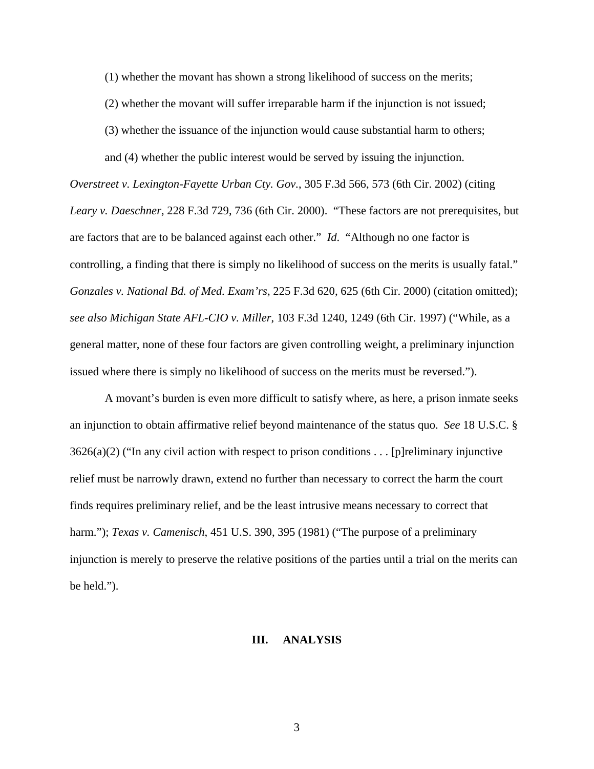(1) whether the movant has shown a strong likelihood of success on the merits;

(2) whether the movant will suffer irreparable harm if the injunction is not issued;

(3) whether the issuance of the injunction would cause substantial harm to others;

and (4) whether the public interest would be served by issuing the injunction.

*Overstreet v. Lexington-Fayette Urban Cty. Gov.*, 305 F.3d 566, 573 (6th Cir. 2002) (citing *Leary v. Daeschner*, 228 F.3d 729, 736 (6th Cir. 2000). "These factors are not prerequisites, but are factors that are to be balanced against each other." *Id*. "Although no one factor is controlling, a finding that there is simply no likelihood of success on the merits is usually fatal." *Gonzales v. National Bd. of Med. Exam'rs*, 225 F.3d 620, 625 (6th Cir. 2000) (citation omitted); *see also Michigan State AFL-CIO v. Miller*, 103 F.3d 1240, 1249 (6th Cir. 1997) ("While, as a general matter, none of these four factors are given controlling weight, a preliminary injunction issued where there is simply no likelihood of success on the merits must be reversed.").

A movant's burden is even more difficult to satisfy where, as here, a prison inmate seeks an injunction to obtain affirmative relief beyond maintenance of the status quo. *See* 18 U.S.C. §  $3626(a)(2)$  ("In any civil action with respect to prison conditions . . . [p] reliminary injunctive relief must be narrowly drawn, extend no further than necessary to correct the harm the court finds requires preliminary relief, and be the least intrusive means necessary to correct that harm."); *Texas v. Camenisch*, 451 U.S. 390, 395 (1981) ("The purpose of a preliminary injunction is merely to preserve the relative positions of the parties until a trial on the merits can be held.").

### **III. ANALYSIS**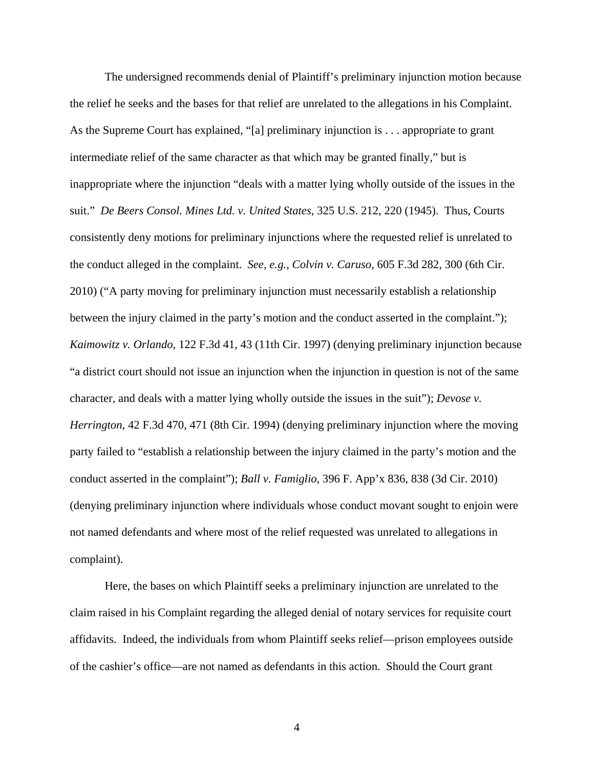The undersigned recommends denial of Plaintiff's preliminary injunction motion because the relief he seeks and the bases for that relief are unrelated to the allegations in his Complaint. As the Supreme Court has explained, "[a] preliminary injunction is . . . appropriate to grant intermediate relief of the same character as that which may be granted finally," but is inappropriate where the injunction "deals with a matter lying wholly outside of the issues in the suit." *De Beers Consol. Mines Ltd. v. United States*, 325 U.S. 212, 220 (1945). Thus, Courts consistently deny motions for preliminary injunctions where the requested relief is unrelated to the conduct alleged in the complaint. *See, e.g.*, *Colvin v. Caruso*, 605 F.3d 282, 300 (6th Cir. 2010) ("A party moving for preliminary injunction must necessarily establish a relationship between the injury claimed in the party's motion and the conduct asserted in the complaint."); *Kaimowitz v. Orlando*, 122 F.3d 41, 43 (11th Cir. 1997) (denying preliminary injunction because "a district court should not issue an injunction when the injunction in question is not of the same character, and deals with a matter lying wholly outside the issues in the suit"); *Devose v. Herrington*, 42 F.3d 470, 471 (8th Cir. 1994) (denying preliminary injunction where the moving party failed to "establish a relationship between the injury claimed in the party's motion and the conduct asserted in the complaint"); *Ball v. Famiglio*, 396 F. App'x 836, 838 (3d Cir. 2010) (denying preliminary injunction where individuals whose conduct movant sought to enjoin were not named defendants and where most of the relief requested was unrelated to allegations in complaint).

 Here, the bases on which Plaintiff seeks a preliminary injunction are unrelated to the claim raised in his Complaint regarding the alleged denial of notary services for requisite court affidavits. Indeed, the individuals from whom Plaintiff seeks relief—prison employees outside of the cashier's office—are not named as defendants in this action. Should the Court grant

4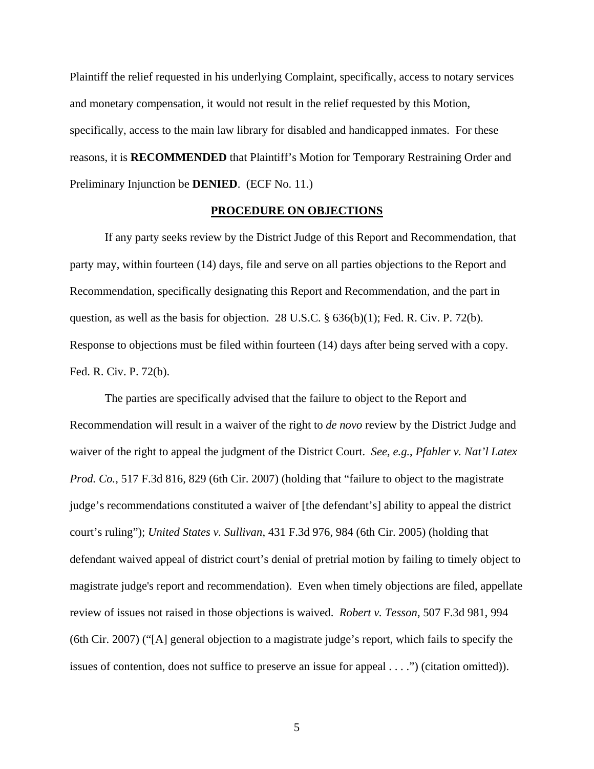Plaintiff the relief requested in his underlying Complaint, specifically, access to notary services and monetary compensation, it would not result in the relief requested by this Motion, specifically, access to the main law library for disabled and handicapped inmates. For these reasons, it is **RECOMMENDED** that Plaintiff's Motion for Temporary Restraining Order and Preliminary Injunction be **DENIED**. (ECF No. 11.)

#### **PROCEDURE ON OBJECTIONS**

 If any party seeks review by the District Judge of this Report and Recommendation, that party may, within fourteen (14) days, file and serve on all parties objections to the Report and Recommendation, specifically designating this Report and Recommendation, and the part in question, as well as the basis for objection. 28 U.S.C. § 636(b)(1); Fed. R. Civ. P. 72(b). Response to objections must be filed within fourteen (14) days after being served with a copy. Fed. R. Civ. P. 72(b).

 The parties are specifically advised that the failure to object to the Report and Recommendation will result in a waiver of the right to *de novo* review by the District Judge and waiver of the right to appeal the judgment of the District Court. *See, e.g.*, *Pfahler v. Nat'l Latex Prod. Co.*, 517 F.3d 816*,* 829 (6th Cir. 2007) (holding that "failure to object to the magistrate judge's recommendations constituted a waiver of [the defendant's] ability to appeal the district court's ruling"); *United States v. Sullivan*, 431 F.3d 976, 984 (6th Cir. 2005) (holding that defendant waived appeal of district court's denial of pretrial motion by failing to timely object to magistrate judge's report and recommendation). Even when timely objections are filed, appellate review of issues not raised in those objections is waived. *Robert v. Tesson*, 507 F.3d 981, 994 (6th Cir. 2007) ("[A] general objection to a magistrate judge's report, which fails to specify the issues of contention, does not suffice to preserve an issue for appeal . . . .") (citation omitted)).